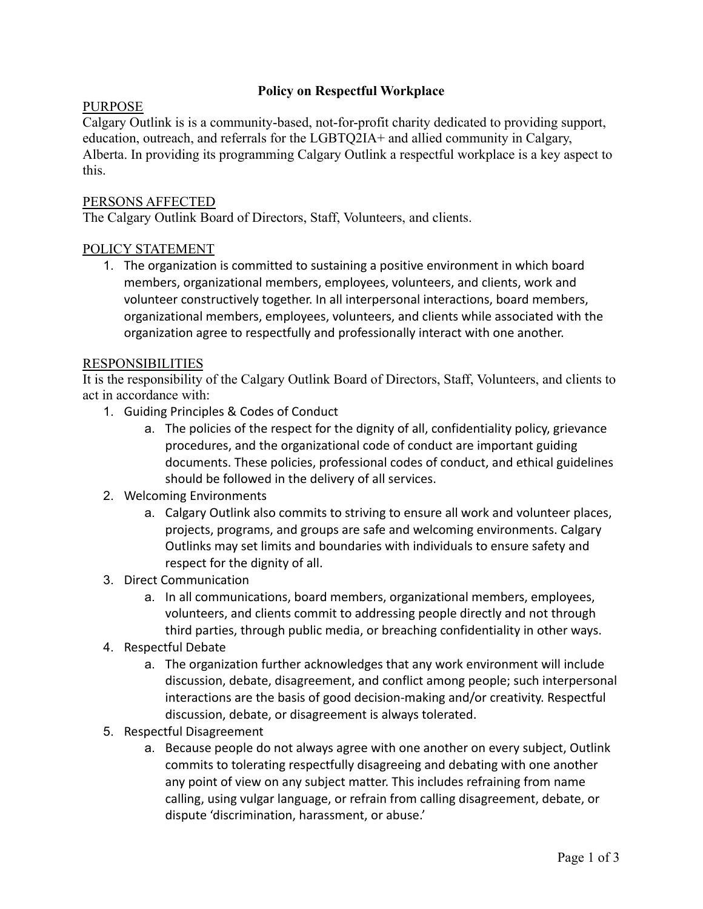# **Policy on Respectful Workplace**

## PURPOSE

Calgary Outlink is is a community-based, not-for-profit charity dedicated to providing support, education, outreach, and referrals for the LGBTQ2IA+ and allied community in Calgary, Alberta. In providing its programming Calgary Outlink a respectful workplace is a key aspect to this.

### PERSONS AFFECTED

The Calgary Outlink Board of Directors, Staff, Volunteers, and clients.

### POLICY STATEMENT

1. The organization is committed to sustaining a positive environment in which board members, organizational members, employees, volunteers, and clients, work and volunteer constructively together. In all interpersonal interactions, board members, organizational members, employees, volunteers, and clients while associated with the organization agree to respectfully and professionally interact with one another.

#### RESPONSIBILITIES

It is the responsibility of the Calgary Outlink Board of Directors, Staff, Volunteers, and clients to act in accordance with:

- 1. Guiding Principles & Codes of Conduct
	- a. The policies of the respect for the dignity of all, confidentiality policy, grievance procedures, and the organizational code of conduct are important guiding documents. These policies, professional codes of conduct, and ethical guidelines should be followed in the delivery of all services.
- 2. Welcoming Environments
	- a. Calgary Outlink also commits to striving to ensure all work and volunteer places, projects, programs, and groups are safe and welcoming environments. Calgary Outlinks may set limits and boundaries with individuals to ensure safety and respect for the dignity of all.
- 3. Direct Communication
	- a. In all communications, board members, organizational members, employees, volunteers, and clients commit to addressing people directly and not through third parties, through public media, or breaching confidentiality in other ways.
- 4. Respectful Debate
	- a. The organization further acknowledges that any work environment will include discussion, debate, disagreement, and conflict among people; such interpersonal interactions are the basis of good decision-making and/or creativity. Respectful discussion, debate, or disagreement is always tolerated.
- 5. Respectful Disagreement
	- a. Because people do not always agree with one another on every subject, Outlink commits to tolerating respectfully disagreeing and debating with one another any point of view on any subject matter. This includes refraining from name calling, using vulgar language, or refrain from calling disagreement, debate, or dispute 'discrimination, harassment, or abuse.'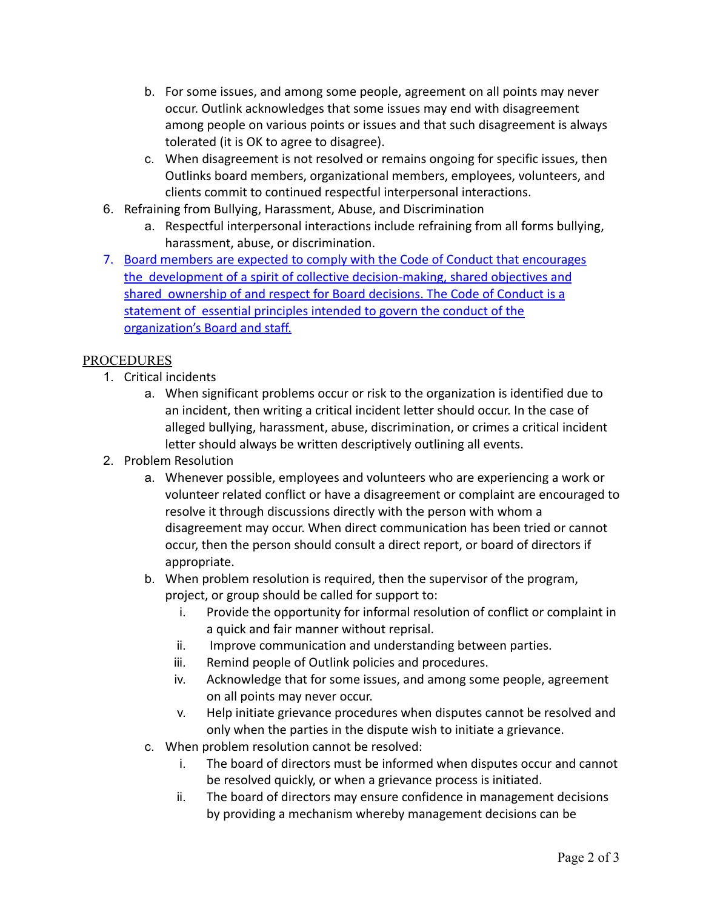- b. For some issues, and among some people, agreement on all points may never occur. Outlink acknowledges that some issues may end with disagreement among people on various points or issues and that such disagreement is always tolerated (it is OK to agree to disagree).
- c. When disagreement is not resolved or remains ongoing for specific issues, then Outlinks board members, organizational members, employees, volunteers, and clients commit to continued respectful interpersonal interactions.
- 6. Refraining from Bullying, Harassment, Abuse, and Discrimination
	- a. Respectful interpersonal interactions include refraining from all forms bullying, harassment, abuse, or discrimination.
- 7. Board members are expected to comply with the Code of Conduct that encourages the development of a spirit of collective decision-making, shared objectives and shared ownership of and respect for Board decisions. The Code of Conduct is a statement of essential principles intended to govern the conduct of the organization's Board and staff.

# PROCEDURES

- 1. Critical incidents
	- a. When significant problems occur or risk to the organization is identified due to an incident, then writing a critical incident letter should occur. In the case of alleged bullying, harassment, abuse, discrimination, or crimes a critical incident letter should always be written descriptively outlining all events.
- 2. Problem Resolution
	- a. Whenever possible, employees and volunteers who are experiencing a work or volunteer related conflict or have a disagreement or complaint are encouraged to resolve it through discussions directly with the person with whom a disagreement may occur. When direct communication has been tried or cannot occur, then the person should consult a direct report, or board of directors if appropriate.
	- b. When problem resolution is required, then the supervisor of the program, project, or group should be called for support to:
		- i. Provide the opportunity for informal resolution of conflict or complaint in a quick and fair manner without reprisal.
		- ii. Improve communication and understanding between parties.
		- iii. Remind people of Outlink policies and procedures.
		- iv. Acknowledge that for some issues, and among some people, agreement on all points may never occur.
		- v. Help initiate grievance procedures when disputes cannot be resolved and only when the parties in the dispute wish to initiate a grievance.
	- c. When problem resolution cannot be resolved:
		- i. The board of directors must be informed when disputes occur and cannot be resolved quickly, or when a grievance process is initiated.
		- ii. The board of directors may ensure confidence in management decisions by providing a mechanism whereby management decisions can be